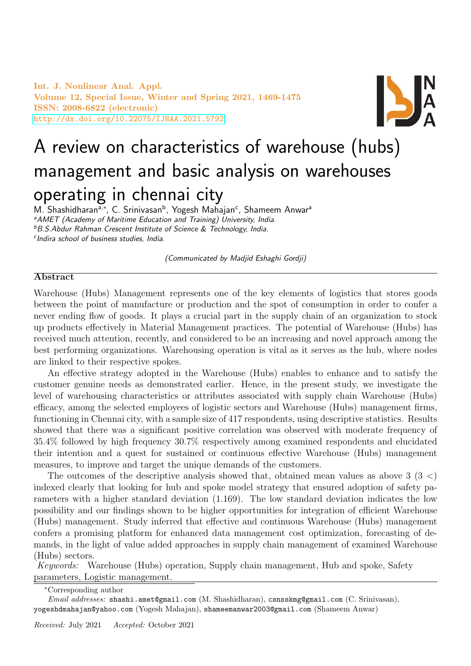Int. J. Nonlinear Anal. Appl. Volume 12, Special Issue, Winter and Spring 2021, 1469-1475 ISSN: 2008-6822 (electronic) <http://dx.doi.org/10.22075/IJNAA.2021.5792>



# A review on characteristics of warehouse (hubs) management and basic analysis on warehouses operating in chennai city

M. Shashidharan<sup>a,∗</sup>, C. Srinivasan<sup>b</sup>, Yogesh Mahajan<sup>c</sup>, Shameem Anwar<sup>a</sup> <sup>a</sup> AMET (Academy of Maritime Education and Training) University, India. **bB.S.Abdur Rahman Crescent Institute of Science & Technology, India.** c Indira school of business studies, India.

(Communicated by Madjid Eshaghi Gordji)

## Abstract

Warehouse (Hubs) Management represents one of the key elements of logistics that stores goods between the point of manufacture or production and the spot of consumption in order to confer a never ending flow of goods. It plays a crucial part in the supply chain of an organization to stock up products effectively in Material Management practices. The potential of Warehouse (Hubs) has received much attention, recently, and considered to be an increasing and novel approach among the best performing organizations. Warehousing operation is vital as it serves as the hub, where nodes are linked to their respective spokes.

An effective strategy adopted in the Warehouse (Hubs) enables to enhance and to satisfy the customer genuine needs as demonstrated earlier. Hence, in the present study, we investigate the level of warehousing characteristics or attributes associated with supply chain Warehouse (Hubs) efficacy, among the selected employees of logistic sectors and Warehouse (Hubs) management firms, functioning in Chennai city, with a sample size of 417 respondents, using descriptive statistics. Results showed that there was a significant positive correlation was observed with moderate frequency of 35.4% followed by high frequency 30.7% respectively among examined respondents and elucidated their intention and a quest for sustained or continuous effective Warehouse (Hubs) management measures, to improve and target the unique demands of the customers.

The outcomes of the descriptive analysis showed that, obtained mean values as above  $3(3 \lt)$ indexed clearly that looking for hub and spoke model strategy that ensured adoption of safety parameters with a higher standard deviation (1.169). The low standard deviation indicates the low possibility and our findings shown to be higher opportunities for integration of efficient Warehouse (Hubs) management. Study inferred that effective and continuous Warehouse (Hubs) management confers a promising platform for enhanced data management cost optimization, forecasting of demands, in the light of value added approaches in supply chain management of examined Warehouse (Hubs) sectors.

Keywords: Warehouse (Hubs) operation, Supply chain management, Hub and spoke, Safety parameters, Logistic management.

<sup>∗</sup>Corresponding author

Email addresses: shashi.amet@gmail.com (M. Shashidharan), csnsskmg@gmail.com (C. Srinivasan), yogeshdmahajan@yahoo.com (Yogesh Mahajan), shameemanwar2003@gmail.com (Shameem Anwar)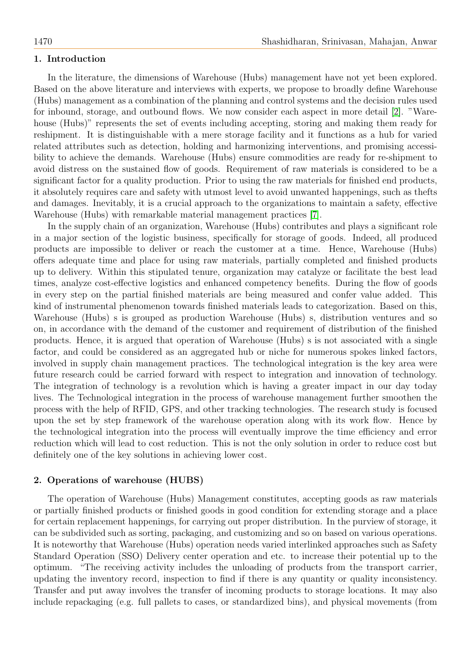## 1. Introduction

In the literature, the dimensions of Warehouse (Hubs) management have not yet been explored. Based on the above literature and interviews with experts, we propose to broadly define Warehouse (Hubs) management as a combination of the planning and control systems and the decision rules used for inbound, storage, and outbound flows. We now consider each aspect in more detail [\[2\]](#page-6-0). "Warehouse (Hubs)" represents the set of events including accepting, storing and making them ready for reshipment. It is distinguishable with a mere storage facility and it functions as a hub for varied related attributes such as detection, holding and harmonizing interventions, and promising accessibility to achieve the demands. Warehouse (Hubs) ensure commodities are ready for re-shipment to avoid distress on the sustained flow of goods. Requirement of raw materials is considered to be a significant factor for a quality production. Prior to using the raw materials for finished end products, it absolutely requires care and safety with utmost level to avoid unwanted happenings, such as thefts and damages. Inevitably, it is a crucial approach to the organizations to maintain a safety, effective Warehouse (Hubs) with remarkable material management practices [\[7\]](#page-6-1).

In the supply chain of an organization, Warehouse (Hubs) contributes and plays a significant role in a major section of the logistic business, specifically for storage of goods. Indeed, all produced products are impossible to deliver or reach the customer at a time. Hence, Warehouse (Hubs) offers adequate time and place for using raw materials, partially completed and finished products up to delivery. Within this stipulated tenure, organization may catalyze or facilitate the best lead times, analyze cost-effective logistics and enhanced competency benefits. During the flow of goods in every step on the partial finished materials are being measured and confer value added. This kind of instrumental phenomenon towards finished materials leads to categorization. Based on this, Warehouse (Hubs) s is grouped as production Warehouse (Hubs) s, distribution ventures and so on, in accordance with the demand of the customer and requirement of distribution of the finished products. Hence, it is argued that operation of Warehouse (Hubs) s is not associated with a single factor, and could be considered as an aggregated hub or niche for numerous spokes linked factors, involved in supply chain management practices. The technological integration is the key area were future research could be carried forward with respect to integration and innovation of technology. The integration of technology is a revolution which is having a greater impact in our day today lives. The Technological integration in the process of warehouse management further smoothen the process with the help of RFID, GPS, and other tracking technologies. The research study is focused upon the set by step framework of the warehouse operation along with its work flow. Hence by the technological integration into the process will eventually improve the time efficiency and error reduction which will lead to cost reduction. This is not the only solution in order to reduce cost but definitely one of the key solutions in achieving lower cost.

## 2. Operations of warehouse (HUBS)

The operation of Warehouse (Hubs) Management constitutes, accepting goods as raw materials or partially finished products or finished goods in good condition for extending storage and a place for certain replacement happenings, for carrying out proper distribution. In the purview of storage, it can be subdivided such as sorting, packaging, and customizing and so on based on various operations. It is noteworthy that Warehouse (Hubs) operation needs varied interlinked approaches such as Safety Standard Operation (SSO) Delivery center operation and etc. to increase their potential up to the optimum. "The receiving activity includes the unloading of products from the transport carrier, updating the inventory record, inspection to find if there is any quantity or quality inconsistency. Transfer and put away involves the transfer of incoming products to storage locations. It may also include repackaging (e.g. full pallets to cases, or standardized bins), and physical movements (from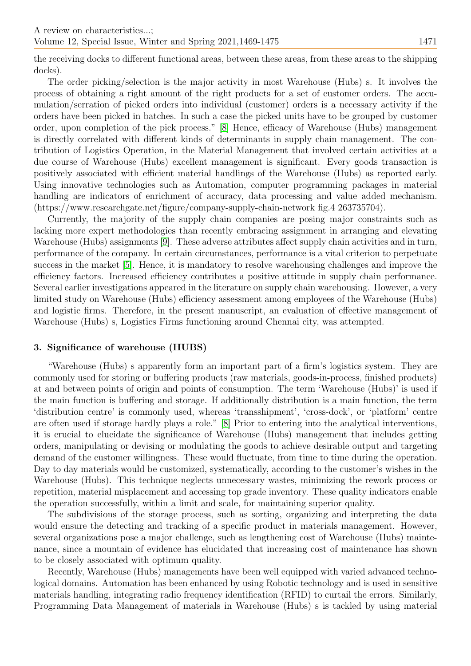the receiving docks to different functional areas, between these areas, from these areas to the shipping docks).

The order picking/selection is the major activity in most Warehouse (Hubs) s. It involves the process of obtaining a right amount of the right products for a set of customer orders. The accumulation/serration of picked orders into individual (customer) orders is a necessary activity if the orders have been picked in batches. In such a case the picked units have to be grouped by customer order, upon completion of the pick process." [\[8\]](#page-6-2) Hence, efficacy of Warehouse (Hubs) management is directly correlated with different kinds of determinants in supply chain management. The contribution of Logistics Operation, in the Material Management that involved certain activities at a due course of Warehouse (Hubs) excellent management is significant. Every goods transaction is positively associated with efficient material handlings of the Warehouse (Hubs) as reported early. Using innovative technologies such as Automation, computer programming packages in material handling are indicators of enrichment of accuracy, data processing and value added mechanism. (https://www.researchgate.net/figure/company-supply-chain-network fig.4 263735704).

Currently, the majority of the supply chain companies are posing major constraints such as lacking more expert methodologies than recently embracing assignment in arranging and elevating Warehouse (Hubs) assignments [\[9\]](#page-6-3). These adverse attributes affect supply chain activities and in turn, performance of the company. In certain circumstances, performance is a vital criterion to perpetuate success in the market [\[5\]](#page-6-4). Hence, it is mandatory to resolve warehousing challenges and improve the efficiency factors. Increased efficiency contributes a positive attitude in supply chain performance. Several earlier investigations appeared in the literature on supply chain warehousing. However, a very limited study on Warehouse (Hubs) efficiency assessment among employees of the Warehouse (Hubs) and logistic firms. Therefore, in the present manuscript, an evaluation of effective management of Warehouse (Hubs) s, Logistics Firms functioning around Chennai city, was attempted.

# 3. Significance of warehouse (HUBS)

"Warehouse (Hubs) s apparently form an important part of a firm's logistics system. They are commonly used for storing or buffering products (raw materials, goods-in-process, finished products) at and between points of origin and points of consumption. The term 'Warehouse (Hubs)' is used if the main function is buffering and storage. If additionally distribution is a main function, the term 'distribution centre' is commonly used, whereas 'transshipment', 'cross-dock', or 'platform' centre are often used if storage hardly plays a role." [\[8\]](#page-6-2) Prior to entering into the analytical interventions, it is crucial to elucidate the significance of Warehouse (Hubs) management that includes getting orders, manipulating or devising or modulating the goods to achieve desirable output and targeting demand of the customer willingness. These would fluctuate, from time to time during the operation. Day to day materials would be customized, systematically, according to the customer's wishes in the Warehouse (Hubs). This technique neglects unnecessary wastes, minimizing the rework process or repetition, material misplacement and accessing top grade inventory. These quality indicators enable the operation successfully, within a limit and scale, for maintaining superior quality.

The subdivisions of the storage process, such as sorting, organizing and interpreting the data would ensure the detecting and tracking of a specific product in materials management. However, several organizations pose a major challenge, such as lengthening cost of Warehouse (Hubs) maintenance, since a mountain of evidence has elucidated that increasing cost of maintenance has shown to be closely associated with optimum quality.

Recently, Warehouse (Hubs) managements have been well equipped with varied advanced technological domains. Automation has been enhanced by using Robotic technology and is used in sensitive materials handling, integrating radio frequency identification (RFID) to curtail the errors. Similarly, Programming Data Management of materials in Warehouse (Hubs) s is tackled by using material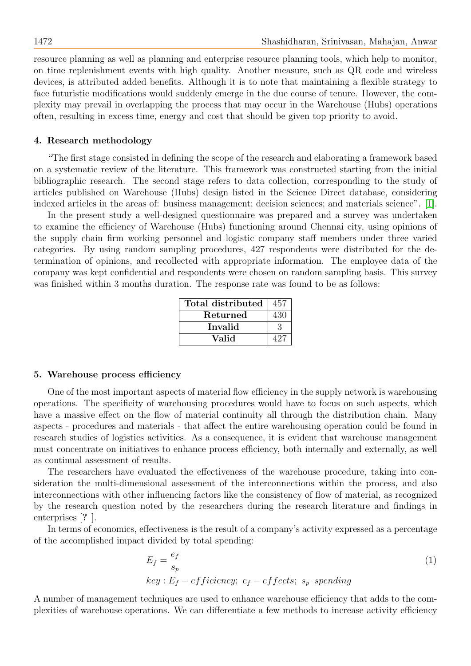resource planning as well as planning and enterprise resource planning tools, which help to monitor, on time replenishment events with high quality. Another measure, such as QR code and wireless devices, is attributed added benefits. Although it is to note that maintaining a flexible strategy to face futuristic modifications would suddenly emerge in the due course of tenure. However, the complexity may prevail in overlapping the process that may occur in the Warehouse (Hubs) operations often, resulting in excess time, energy and cost that should be given top priority to avoid.

## 4. Research methodology

"The first stage consisted in defining the scope of the research and elaborating a framework based on a systematic review of the literature. This framework was constructed starting from the initial bibliographic research. The second stage refers to data collection, corresponding to the study of articles published on Warehouse (Hubs) design listed in the Science Direct database, considering indexed articles in the areas of: business management; decision sciences; and materials science". [\[1\]](#page-6-5).

In the present study a well-designed questionnaire was prepared and a survey was undertaken to examine the efficiency of Warehouse (Hubs) functioning around Chennai city, using opinions of the supply chain firm working personnel and logistic company staff members under three varied categories. By using random sampling procedures, 427 respondents were distributed for the determination of opinions, and recollected with appropriate information. The employee data of the company was kept confidential and respondents were chosen on random sampling basis. This survey was finished within 3 months duration. The response rate was found to be as follows:

| Total distributed | 457 |
|-------------------|-----|
| Returned          | 430 |
| Invalid           |     |
| Valid             |     |

#### 5. Warehouse process efficiency

One of the most important aspects of material flow efficiency in the supply network is warehousing operations. The specificity of warehousing procedures would have to focus on such aspects, which have a massive effect on the flow of material continuity all through the distribution chain. Many aspects - procedures and materials - that affect the entire warehousing operation could be found in research studies of logistics activities. As a consequence, it is evident that warehouse management must concentrate on initiatives to enhance process efficiency, both internally and externally, as well as continual assessment of results.

The researchers have evaluated the effectiveness of the warehouse procedure, taking into consideration the multi-dimensional assessment of the interconnections within the process, and also interconnections with other influencing factors like the consistency of flow of material, as recognized by the research question noted by the researchers during the research literature and findings in enterprises [? ].

In terms of economics, effectiveness is the result of a company's activity expressed as a percentage of the accomplished impact divided by total spending:

$$
E_f = \frac{e_f}{s_p}
$$
  
\n $key : E_f - efficiency; e_f - effects; s_p-spending$  (1)

A number of management techniques are used to enhance warehouse efficiency that adds to the complexities of warehouse operations. We can differentiate a few methods to increase activity efficiency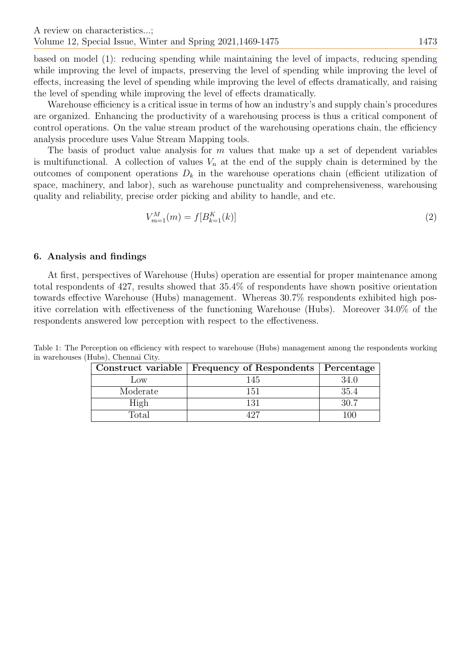based on model (1): reducing spending while maintaining the level of impacts, reducing spending while improving the level of impacts, preserving the level of spending while improving the level of effects, increasing the level of spending while improving the level of effects dramatically, and raising the level of spending while improving the level of effects dramatically.

Warehouse efficiency is a critical issue in terms of how an industry's and supply chain's procedures are organized. Enhancing the productivity of a warehousing process is thus a critical component of control operations. On the value stream product of the warehousing operations chain, the efficiency analysis procedure uses Value Stream Mapping tools.

The basis of product value analysis for  $m$  values that make up a set of dependent variables is multifunctional. A collection of values  $V_n$  at the end of the supply chain is determined by the outcomes of component operations  $D_k$  in the warehouse operations chain (efficient utilization of space, machinery, and labor), such as warehouse punctuality and comprehensiveness, warehousing quality and reliability, precise order picking and ability to handle, and etc.

$$
V_{m=1}^{M}(m) = f[B_{k=1}^{K}(k)]
$$
\n(2)

# 6. Analysis and findings

At first, perspectives of Warehouse (Hubs) operation are essential for proper maintenance among total respondents of 427, results showed that 35.4% of respondents have shown positive orientation towards effective Warehouse (Hubs) management. Whereas 30.7% respondents exhibited high positive correlation with effectiveness of the functioning Warehouse (Hubs). Moreover 34.0% of the respondents answered low perception with respect to the effectiveness.

Table 1: The Perception on efficiency with respect to warehouse (Hubs) management among the respondents working in warehouses (Hubs), Chennai City.

|          | Construct variable   Frequency of Respondents   Percentage |      |
|----------|------------------------------------------------------------|------|
| LOW      | 145                                                        |      |
| Moderate |                                                            | 35.4 |
| High     |                                                            | 30 Z |
| Total    |                                                            | 1711 |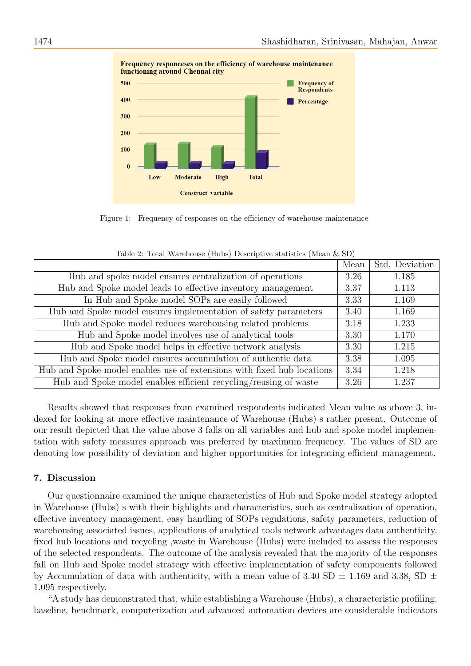

Figure 1: Frequency of responses on the efficiency of warehouse maintenance

|                                                                        | Mean | Std. Deviation |  |  |
|------------------------------------------------------------------------|------|----------------|--|--|
| Hub and spoke model ensures centralization of operations               | 3.26 | 1.185          |  |  |
| Hub and Spoke model leads to effective inventory management            | 3.37 | 1.113          |  |  |
| In Hub and Spoke model SOPs are easily followed                        | 3.33 | 1.169          |  |  |
| Hub and Spoke model ensures implementation of safety parameters        | 3.40 | 1.169          |  |  |
| Hub and Spoke model reduces warehousing related problems               | 3.18 | 1.233          |  |  |
| Hub and Spoke model involves use of analytical tools                   | 3.30 | 1.170          |  |  |
| Hub and Spoke model helps in effective network analysis                | 3.30 | 1.215          |  |  |
| Hub and Spoke model ensures accumulation of authentic data             | 3.38 | 1.095          |  |  |
| Hub and Spoke model enables use of extensions with fixed hub locations | 3.34 | 1.218          |  |  |
| Hub and Spoke model enables efficient recycling/reusing of waste       | 3.26 | 1.237          |  |  |

Table 2: Total Warehouse (Hubs) Descriptive statistics (Mean & SD)

Results showed that responses from examined respondents indicated Mean value as above 3, indexed for looking at more effective maintenance of Warehouse (Hubs) s rather present. Outcome of our result depicted that the value above 3 falls on all variables and hub and spoke model implementation with safety measures approach was preferred by maximum frequency. The values of SD are denoting low possibility of deviation and higher opportunities for integrating efficient management.

## 7. Discussion

Our questionnaire examined the unique characteristics of Hub and Spoke model strategy adopted in Warehouse (Hubs) s with their highlights and characteristics, such as centralization of operation, effective inventory management, easy handling of SOPs regulations, safety parameters, reduction of warehousing associated issues, applications of analytical tools network advantages data authenticity, fixed hub locations and recycling ,waste in Warehouse (Hubs) were included to assess the responses of the selected respondents. The outcome of the analysis revealed that the majority of the responses fall on Hub and Spoke model strategy with effective implementation of safety components followed by Accumulation of data with authenticity, with a mean value of 3.40 SD  $\pm$  1.169 and 3.38, SD  $\pm$ 1.095 respectively.

"A study has demonstrated that, while establishing a Warehouse (Hubs), a characteristic profiling, baseline, benchmark, computerization and advanced automation devices are considerable indicators